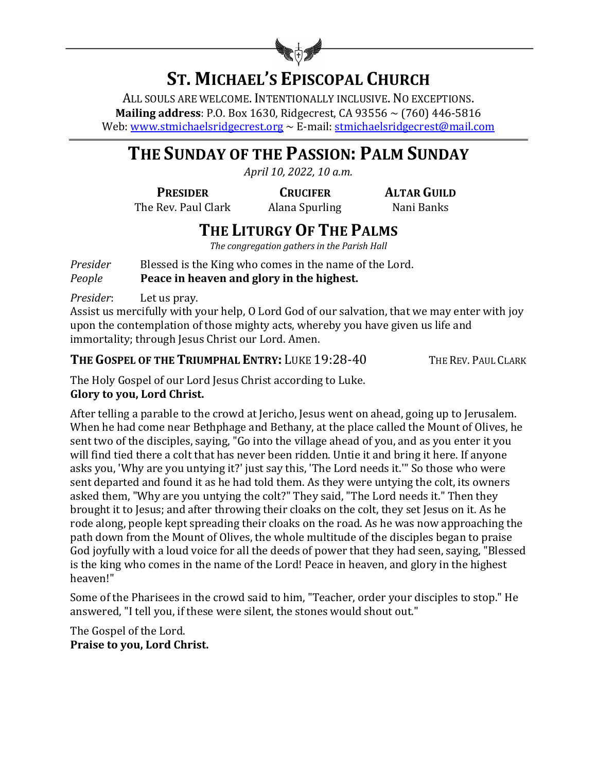

# **ST. MICHAEL'S EPISCOPAL CHURCH**

ALL SOULS ARE WELCOME. INTENTIONALLY INCLUSIVE. NO EXCEPTIONS. **Mailing address**: P.O. Box 1630, Ridgecrest, CA 93556  $\sim$  (760) 446-5816 Web: www.stmichaelsridgecrest.org  $\sim$  E-mail: stmichaelsridgecrest@mail.com

# THE SUNDAY OF THE PASSION: PALM SUNDAY

*April 10, 2022, 10 a.m.*

The Rev. Paul Clark Alana Spurling Nani Banks

**PRESIDER CRUCIFER ALTAR GUILD** 

# **THE LITURGY OF THE PALMS**

The congregation gathers in the Parish Hall

*Presider* Blessed is the King who comes in the name of the Lord. *People* **Peace in heaven and glory in the highest.** 

*Presider*: Let us pray.

Assist us mercifully with your help, O Lord God of our salvation, that we may enter with joy upon the contemplation of those mighty acts, whereby you have given us life and immortality; through Jesus Christ our Lord. Amen.

**THE GOSPEL OF THE TRIUMPHAL ENTRY:** LUKE 19:28-40 THE REV. PAUL CLARK

The Holy Gospel of our Lord Jesus Christ according to Luke. **Glory to you, Lord Christ.** 

After telling a parable to the crowd at Jericho, Jesus went on ahead, going up to Jerusalem. When he had come near Bethphage and Bethany, at the place called the Mount of Olives, he sent two of the disciples, saying, "Go into the village ahead of you, and as you enter it you will find tied there a colt that has never been ridden. Untie it and bring it here. If anyone asks you, 'Why are you untying it?' just say this, 'The Lord needs it.'" So those who were sent departed and found it as he had told them. As they were untying the colt, its owners asked them, "Why are you untying the colt?" They said, "The Lord needs it." Then they brought it to Jesus; and after throwing their cloaks on the colt, they set Jesus on it. As he rode along, people kept spreading their cloaks on the road. As he was now approaching the path down from the Mount of Olives, the whole multitude of the disciples began to praise God joyfully with a loud voice for all the deeds of power that they had seen, saying, "Blessed is the king who comes in the name of the Lord! Peace in heaven, and glory in the highest heaven!"

Some of the Pharisees in the crowd said to him, "Teacher, order your disciples to stop." He answered, "I tell you, if these were silent, the stones would shout out."

The Gospel of the Lord. **Praise to you, Lord Christ.**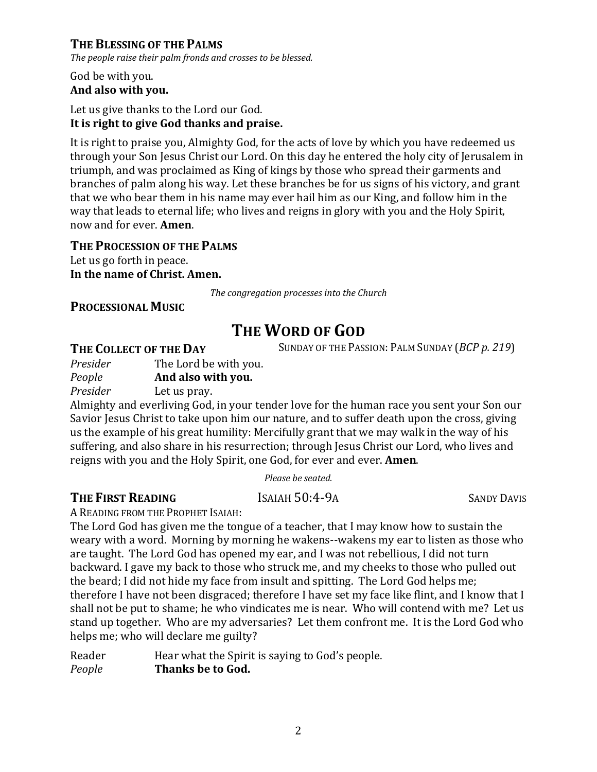# **THE BLESSING OF THE PALMS**

The people raise their palm fronds and crosses to be blessed.

### God be with you. And also with you.

Let us give thanks to the Lord our God. It is right to give God thanks and praise.

It is right to praise you, Almighty God, for the acts of love by which you have redeemed us through your Son Jesus Christ our Lord. On this day he entered the holy city of Jerusalem in triumph, and was proclaimed as King of kings by those who spread their garments and branches of palm along his way. Let these branches be for us signs of his victory, and grant that we who bear them in his name may ever hail him as our King, and follow him in the way that leads to eternal life; who lives and reigns in glory with you and the Holy Spirit, now and for ever. **Amen**.

### **THE PROCESSION OF THE PALMS**

Let us go forth in peace. In the name of Christ. Amen.

**PROCESSIONAL MUSIC**

The congregation processes into the Church

# **THE WORD OF GOD**

**THE COLLECT OF THE DAY** SUNDAY OF THE PASSION: PALM SUNDAY (*BCP* p. 219)

*Presider* The Lord be with you. *People* **And also with you.** 

*Presider* Let us pray.

Almighty and everliving God, in your tender love for the human race you sent your Son our Savior Jesus Christ to take upon him our nature, and to suffer death upon the cross, giving us the example of his great humility: Mercifully grant that we may walk in the way of his suffering, and also share in his resurrection; through Jesus Christ our Lord, who lives and reigns with you and the Holy Spirit, one God, for ever and ever. **Amen**.

*Please be seated.*

## **THE FIRST READING ISAIAH 50:4-9A** SANDY DAVIS

A READING FROM THE PROPHET ISAIAH:

The Lord God has given me the tongue of a teacher, that I may know how to sustain the weary with a word. Morning by morning he wakens--wakens my ear to listen as those who are taught. The Lord God has opened my ear, and I was not rebellious, I did not turn backward. I gave my back to those who struck me, and my cheeks to those who pulled out the beard; I did not hide my face from insult and spitting. The Lord God helps me; therefore I have not been disgraced; therefore I have set my face like flint, and I know that I shall not be put to shame; he who vindicates me is near. Who will contend with me? Let us stand up together. Who are my adversaries? Let them confront me. It is the Lord God who helps me; who will declare me guilty?

Reader Hear what the Spirit is saying to God's people. **People Thanks be to God.**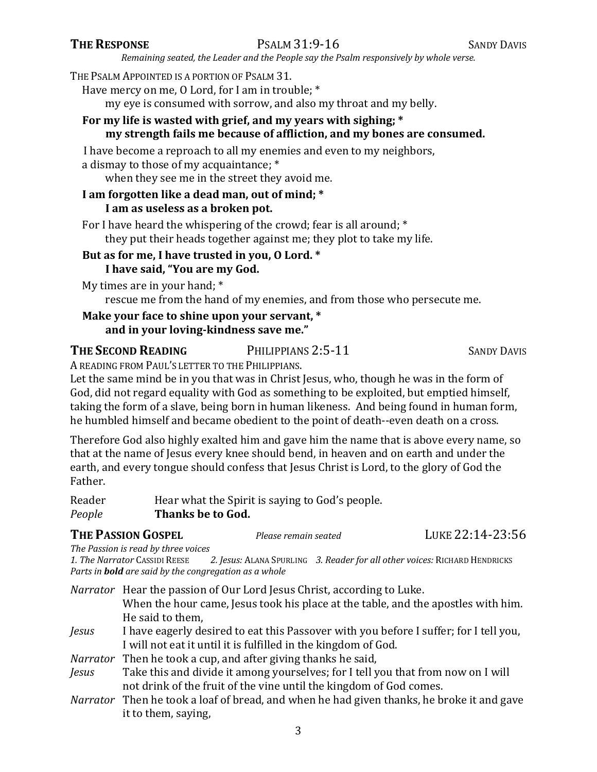### **THE RESPONSE** PSALM 31:9-16 SANDY DAVIS

*Remaining seated, the Leader and the People say the Psalm responsively by whole verse.* 

THE PSALM APPOINTED IS A PORTION OF PSALM 31.

Have mercy on me, O Lord, for I am in trouble;  $*$ 

my eye is consumed with sorrow, and also my throat and my belly.

# For my life is wasted with grief, and my years with sighing; \* my strength fails me because of affliction, and my bones are consumed.

I have become a reproach to all my enemies and even to my neighbors,

a dismay to those of my acquaintance; \*

when they see me in the street they avoid me.

### I am forgotten like a dead man, out of mind; \* I am as useless as a broken pot.

For I have heard the whispering of the crowd; fear is all around;  $*$ they put their heads together against me; they plot to take my life.

### But as for me, I have trusted in you, O Lord.<sup>\*</sup> I have said, "You are my God.

My times are in your hand;  $*$ 

rescue me from the hand of my enemies, and from those who persecute me.

### Make your face to shine upon your servant, \* and in your loving-kindness save me."

### **THE SECOND READING** PHILIPPIANS 2:5-11 SANDY DAVIS

A READING FROM PAUL'S LETTER TO THE PHILIPPIANS.

Let the same mind be in you that was in Christ Jesus, who, though he was in the form of God, did not regard equality with God as something to be exploited, but emptied himself, taking the form of a slave, being born in human likeness. And being found in human form, he humbled himself and became obedient to the point of death--even death on a cross.

Therefore God also highly exalted him and gave him the name that is above every name, so that at the name of Jesus every knee should bend, in heaven and on earth and under the earth, and every tongue should confess that Jesus Christ is Lord, to the glory of God the Father.

| Reader | Hear what the Spirit is saying to God's people. |
|--------|-------------------------------------------------|
| People | Thanks be to God.                               |

# **THE PASSION GOSPEL** *Please remain seated* LUKE 22:14-23:56

The Passion is read by three voices

1. The Narrator CASSIDI REESE 2. Jesus: ALANA SPURLING 3. Reader for all other voices: RICHARD HENDRICKS *Parts* in **bold** are said by the congregation as a whole

- *Narrator* Hear the passion of Our Lord Jesus Christ, according to Luke. When the hour came, Jesus took his place at the table, and the apostles with him. He said to them, *Jesus* I have eagerly desired to eat this Passover with you before I suffer; for I tell you,
- I will not eat it until it is fulfilled in the kingdom of God.
- *Narrator* Then he took a cup, and after giving thanks he said,
- *Jesus* Take this and divide it among yourselves; for I tell you that from now on I will not drink of the fruit of the vine until the kingdom of God comes.
- *Narrator* Then he took a loaf of bread, and when he had given thanks, he broke it and gave it to them, saying,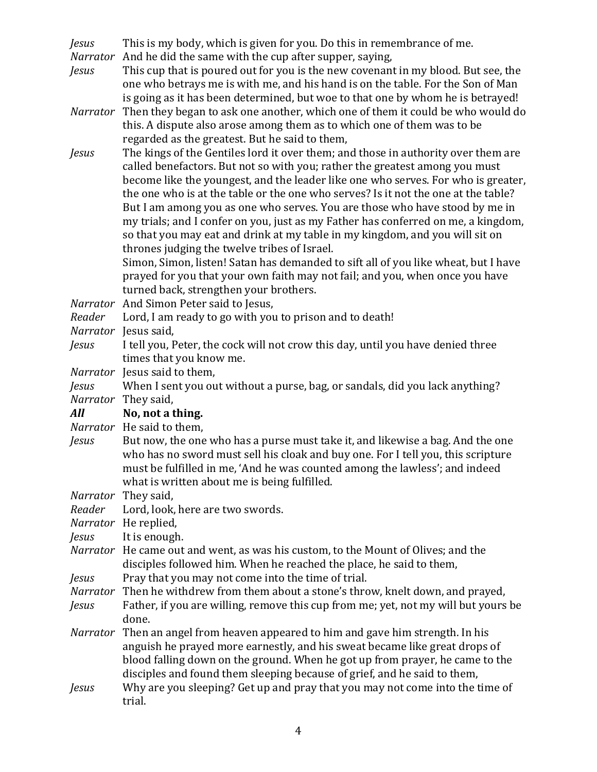*Jesus* This is my body, which is given for you. Do this in remembrance of me.

*Narrator* And he did the same with the cup after supper, saying,

- *Jesus* This cup that is poured out for you is the new covenant in my blood. But see, the one who betrays me is with me, and his hand is on the table. For the Son of Man is going as it has been determined, but woe to that one by whom he is betrayed!
- *Narrator* Then they began to ask one another, which one of them it could be who would do this. A dispute also arose among them as to which one of them was to be regarded as the greatest. But he said to them,
- *Jesus* The kings of the Gentiles lord it over them; and those in authority over them are called benefactors. But not so with you; rather the greatest among you must become like the youngest, and the leader like one who serves. For who is greater, the one who is at the table or the one who serves? Is it not the one at the table? But I am among you as one who serves. You are those who have stood by me in my trials; and I confer on you, just as my Father has conferred on me, a kingdom, so that you may eat and drink at my table in my kingdom, and you will sit on thrones judging the twelve tribes of Israel.

Simon, Simon, listen! Satan has demanded to sift all of you like wheat, but I have prayed for you that your own faith may not fail; and you, when once you have turned back, strengthen your brothers.

*Narrator* And Simon Peter said to Jesus,

*Reader* Lord, I am ready to go with you to prison and to death!

*Narrator* Jesus said, 

*Jesus* I tell you, Peter, the cock will not crow this day, until you have denied three times that you know me.

*Narrator* Jesus said to them,

*Jesus* When I sent you out without a purse, bag, or sandals, did you lack anything? *Narrator* They said, 

*All* **No, not a thing.** 

*Narrator* He said to them,

*Jesus* But now, the one who has a purse must take it, and likewise a bag. And the one who has no sword must sell his cloak and buy one. For I tell you, this scripture must be fulfilled in me, 'And he was counted among the lawless'; and indeed what is written about me is being fulfilled.

*Narrator* They said, 

*Reader* Lord, look, here are two swords.

*Narrator* He replied,

*Jesus* It is enough.

*Narrator* He came out and went, as was his custom, to the Mount of Olives; and the disciples followed him. When he reached the place, he said to them,

*Jesus* Pray that you may not come into the time of trial.

*Narrator* Then he withdrew from them about a stone's throw, knelt down, and prayed,

*Jesus* Father, if you are willing, remove this cup from me; yet, not my will but yours be done. 

- *Narrator* Then an angel from heaven appeared to him and gave him strength. In his anguish he prayed more earnestly, and his sweat became like great drops of blood falling down on the ground. When he got up from prayer, he came to the disciples and found them sleeping because of grief, and he said to them,
- *Jesus* Why are you sleeping? Get up and pray that you may not come into the time of trial.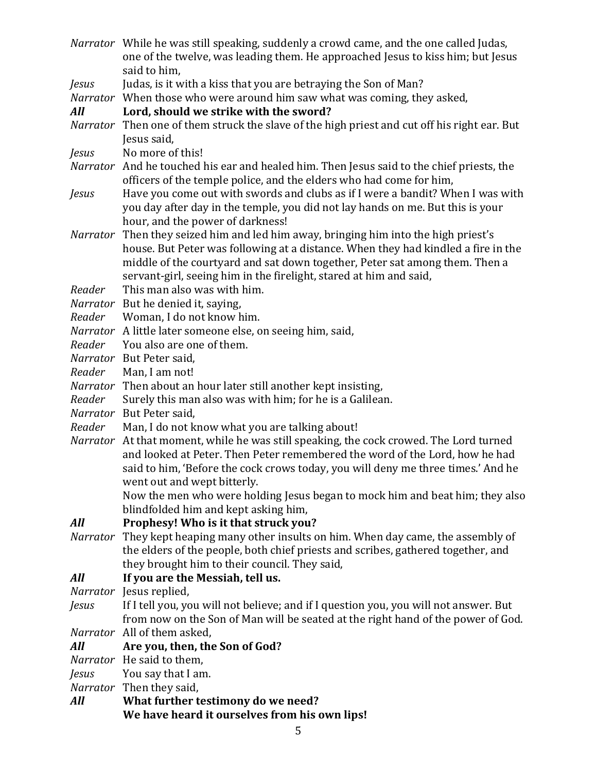|                    | Narrator While he was still speaking, suddenly a crowd came, and the one called Judas,<br>one of the twelve, was leading them. He approached Jesus to kiss him; but Jesus<br>said to him, |  |  |
|--------------------|-------------------------------------------------------------------------------------------------------------------------------------------------------------------------------------------|--|--|
| <i>Jesus</i>       | Judas, is it with a kiss that you are betraying the Son of Man?                                                                                                                           |  |  |
|                    | Narrator When those who were around him saw what was coming, they asked,                                                                                                                  |  |  |
| All                | Lord, should we strike with the sword?                                                                                                                                                    |  |  |
|                    | Narrator Then one of them struck the slave of the high priest and cut off his right ear. But                                                                                              |  |  |
|                    | Jesus said,                                                                                                                                                                               |  |  |
| <i>Jesus</i>       | No more of this!                                                                                                                                                                          |  |  |
|                    | Narrator And he touched his ear and healed him. Then Jesus said to the chief priests, the                                                                                                 |  |  |
|                    | officers of the temple police, and the elders who had come for him,                                                                                                                       |  |  |
| <i>Jesus</i>       | Have you come out with swords and clubs as if I were a bandit? When I was with                                                                                                            |  |  |
|                    | you day after day in the temple, you did not lay hands on me. But this is your                                                                                                            |  |  |
|                    | hour, and the power of darkness!                                                                                                                                                          |  |  |
| Narrator           | Then they seized him and led him away, bringing him into the high priest's                                                                                                                |  |  |
|                    | house. But Peter was following at a distance. When they had kindled a fire in the                                                                                                         |  |  |
|                    | middle of the courtyard and sat down together, Peter sat among them. Then a                                                                                                               |  |  |
|                    | servant-girl, seeing him in the firelight, stared at him and said,                                                                                                                        |  |  |
| Reader             | This man also was with him.                                                                                                                                                               |  |  |
| Narrator<br>Reader | But he denied it, saying,                                                                                                                                                                 |  |  |
|                    | Woman, I do not know him.                                                                                                                                                                 |  |  |
| Reader             | Narrator A little later someone else, on seeing him, said,<br>You also are one of them.                                                                                                   |  |  |
| Narrator           | But Peter said,                                                                                                                                                                           |  |  |
| Reader             | Man, I am not!                                                                                                                                                                            |  |  |
| <b>Narrator</b>    | Then about an hour later still another kept insisting,                                                                                                                                    |  |  |
| Reader             | Surely this man also was with him; for he is a Galilean.                                                                                                                                  |  |  |
| Narrator           | But Peter said,                                                                                                                                                                           |  |  |
| Reader             | Man, I do not know what you are talking about!                                                                                                                                            |  |  |
| Narrator           | At that moment, while he was still speaking, the cock crowed. The Lord turned                                                                                                             |  |  |
|                    | and looked at Peter. Then Peter remembered the word of the Lord, how he had                                                                                                               |  |  |
|                    | said to him, 'Before the cock crows today, you will deny me three times.' And he                                                                                                          |  |  |
|                    | went out and wept bitterly.                                                                                                                                                               |  |  |
|                    | Now the men who were holding Jesus began to mock him and beat him; they also                                                                                                              |  |  |
|                    | blindfolded him and kept asking him,                                                                                                                                                      |  |  |
| All                | Prophesy! Who is it that struck you?                                                                                                                                                      |  |  |
| Narrator           | They kept heaping many other insults on him. When day came, the assembly of                                                                                                               |  |  |
|                    | the elders of the people, both chief priests and scribes, gathered together, and                                                                                                          |  |  |
|                    | they brought him to their council. They said,                                                                                                                                             |  |  |
| All                | If you are the Messiah, tell us.                                                                                                                                                          |  |  |
|                    | Narrator Jesus replied,                                                                                                                                                                   |  |  |
| Jesus              | If I tell you, you will not believe; and if I question you, you will not answer. But                                                                                                      |  |  |
|                    | from now on the Son of Man will be seated at the right hand of the power of God.                                                                                                          |  |  |
|                    | Narrator All of them asked,                                                                                                                                                               |  |  |
| All                | Are you, then, the Son of God?                                                                                                                                                            |  |  |
|                    | Narrator He said to them,                                                                                                                                                                 |  |  |
| <i>Jesus</i>       | You say that I am.                                                                                                                                                                        |  |  |
|                    | Narrator Then they said,                                                                                                                                                                  |  |  |
| All                | What further testimony do we need?<br>We have heard it ourselves from his own lips!                                                                                                       |  |  |
|                    |                                                                                                                                                                                           |  |  |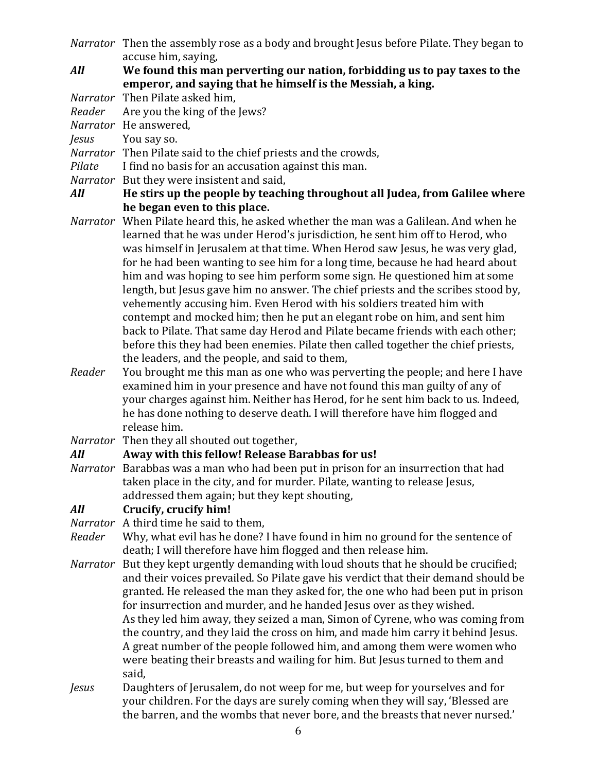- *Narrator* Then the assembly rose as a body and brought Jesus before Pilate. They began to accuse him, saying,
- All We found this man perverting our nation, forbidding us to pay taxes to the emperor, and saying that he himself is the Messiah, a king.

*Narrator* Then Pilate asked him.

*Reader* Are you the king of the Jews?

*Narrator* He answered,

*Jesus* You say so.

- *Narrator* Then Pilate said to the chief priests and the crowds,
- *Pilate* I find no basis for an accusation against this man.

*Narrator* But they were insistent and said,

- All **He** stirs up the people by teaching throughout all Judea, from Galilee where he began even to this place.
- *Narrator* When Pilate heard this, he asked whether the man was a Galilean. And when he learned that he was under Herod's jurisdiction, he sent him off to Herod, who was himself in Jerusalem at that time. When Herod saw Jesus, he was very glad, for he had been wanting to see him for a long time, because he had heard about him and was hoping to see him perform some sign. He questioned him at some length, but Jesus gave him no answer. The chief priests and the scribes stood by, vehemently accusing him. Even Herod with his soldiers treated him with contempt and mocked him; then he put an elegant robe on him, and sent him back to Pilate. That same day Herod and Pilate became friends with each other; before this they had been enemies. Pilate then called together the chief priests, the leaders, and the people, and said to them,
- *Reader* You brought me this man as one who was perverting the people; and here I have examined him in your presence and have not found this man guilty of any of your charges against him. Neither has Herod, for he sent him back to us. Indeed, he has done nothing to deserve death. I will therefore have him flogged and release him.

*Narrator* Then they all shouted out together,

## All **Away** with this fellow! Release Barabbas for us!

*Narrator* Barabbas was a man who had been put in prison for an insurrection that had taken place in the city, and for murder. Pilate, wanting to release Jesus, addressed them again; but they kept shouting,

## All **Crucify**, crucify him!

- *Narrator* A third time he said to them,
- *Reader* Why, what evil has he done? I have found in him no ground for the sentence of death; I will therefore have him flogged and then release him.
- *Narrator* But they kept urgently demanding with loud shouts that he should be crucified; and their voices prevailed. So Pilate gave his verdict that their demand should be granted. He released the man they asked for, the one who had been put in prison for insurrection and murder, and he handed Jesus over as they wished. As they led him away, they seized a man, Simon of Cyrene, who was coming from the country, and they laid the cross on him, and made him carry it behind Jesus. A great number of the people followed him, and among them were women who were beating their breasts and wailing for him. But Jesus turned to them and said,
- *Jesus* Daughters of Jerusalem, do not weep for me, but weep for yourselves and for your children. For the days are surely coming when they will say, 'Blessed are the barren, and the wombs that never bore, and the breasts that never nursed.'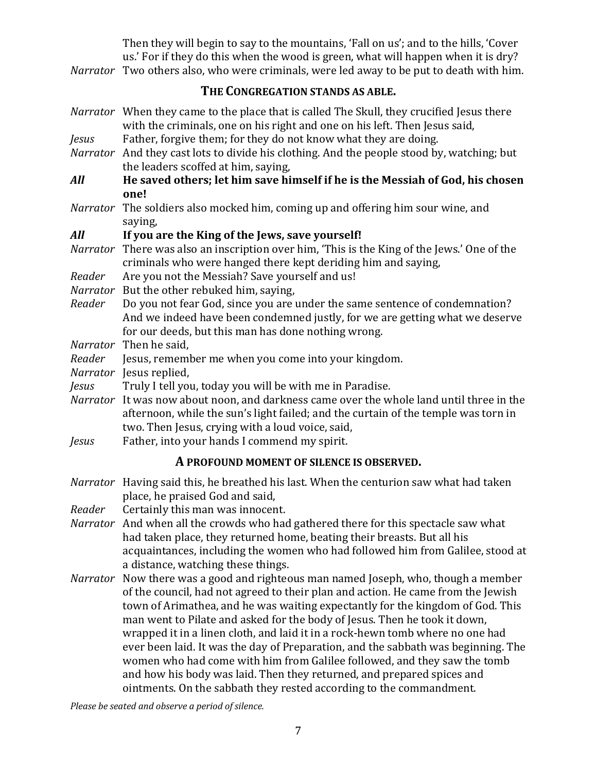Then they will begin to say to the mountains, 'Fall on us'; and to the hills, 'Cover us.' For if they do this when the wood is green, what will happen when it is dry? *Narrator* Two others also, who were criminals, were led away to be put to death with him.

# THE CONGREGATION STANDS AS ABLE.

|                          | Narrator When they came to the place that is called The Skull, they crucified Jesus there<br>with the criminals, one on his right and one on his left. Then Jesus said,                                                   |  |  |  |
|--------------------------|---------------------------------------------------------------------------------------------------------------------------------------------------------------------------------------------------------------------------|--|--|--|
| <b>Jesus</b><br>Narrator | Father, forgive them; for they do not know what they are doing.<br>And they cast lots to divide his clothing. And the people stood by, watching; but                                                                      |  |  |  |
| All                      | the leaders scoffed at him, saying,<br>He saved others; let him save himself if he is the Messiah of God, his chosen<br>one!                                                                                              |  |  |  |
| Narrator                 | The soldiers also mocked him, coming up and offering him sour wine, and<br>saying,                                                                                                                                        |  |  |  |
| All                      | If you are the King of the Jews, save yourself!                                                                                                                                                                           |  |  |  |
| Narrator                 | There was also an inscription over him, 'This is the King of the Jews.' One of the<br>criminals who were hanged there kept deriding him and saying,                                                                       |  |  |  |
| Reader                   | Are you not the Messiah? Save yourself and us!                                                                                                                                                                            |  |  |  |
| Narrator                 | But the other rebuked him, saying,                                                                                                                                                                                        |  |  |  |
| Reader                   | Do you not fear God, since you are under the same sentence of condemnation?<br>And we indeed have been condemned justly, for we are getting what we deserve<br>for our deeds, but this man has done nothing wrong.        |  |  |  |
| Narrator                 | Then he said,                                                                                                                                                                                                             |  |  |  |
| Reader                   | Jesus, remember me when you come into your kingdom.                                                                                                                                                                       |  |  |  |
| Narrator                 | Jesus replied,                                                                                                                                                                                                            |  |  |  |
| <i>Jesus</i>             | Truly I tell you, today you will be with me in Paradise.                                                                                                                                                                  |  |  |  |
| <b>Narrator</b>          | It was now about noon, and darkness came over the whole land until three in the<br>afternoon, while the sun's light failed; and the curtain of the temple was torn in<br>two. Then Jesus, crying with a loud voice, said, |  |  |  |
| <i>Jesus</i>             | Father, into your hands I commend my spirit.                                                                                                                                                                              |  |  |  |
|                          | A PROFOUND MOMENT OF SILENCE IS OBSERVED.                                                                                                                                                                                 |  |  |  |
|                          | Narrator Having said this, he breathed his last. When the centurion saw what had taken<br>place, he praised God and said,                                                                                                 |  |  |  |
| Reader                   | Certainly this man was innocent.                                                                                                                                                                                          |  |  |  |
| Narrator                 | And when all the crowds who had gathered there for this spectacle saw what                                                                                                                                                |  |  |  |
|                          | had taken place, they returned home, beating their breasts. But all his                                                                                                                                                   |  |  |  |
|                          | acquaintances, including the women who had followed him from Galilee, stood at<br>a distance, watching these things.                                                                                                      |  |  |  |
| <b>Narrator</b>          | Now there was a good and righteous man named Joseph, who, though a member                                                                                                                                                 |  |  |  |
|                          | of the council, had not agreed to their plan and action. He came from the Jewish                                                                                                                                          |  |  |  |
|                          | town of Arimathea, and he was waiting expectantly for the kingdom of God. This                                                                                                                                            |  |  |  |
|                          | man went to Pilate and asked for the body of Jesus. Then he took it down,                                                                                                                                                 |  |  |  |
|                          | wrapped it in a linen cloth, and laid it in a rock-hewn tomb where no one had                                                                                                                                             |  |  |  |
|                          | ever been laid. It was the day of Preparation, and the sabbath was beginning. The                                                                                                                                         |  |  |  |
|                          | women who had come with him from Galilee followed, and they saw the tomb                                                                                                                                                  |  |  |  |
|                          | and how his body was laid. Then they returned, and prepared spices and                                                                                                                                                    |  |  |  |
|                          | ointments. On the sabbath they rested according to the commandment.                                                                                                                                                       |  |  |  |

Please be seated and observe a period of silence.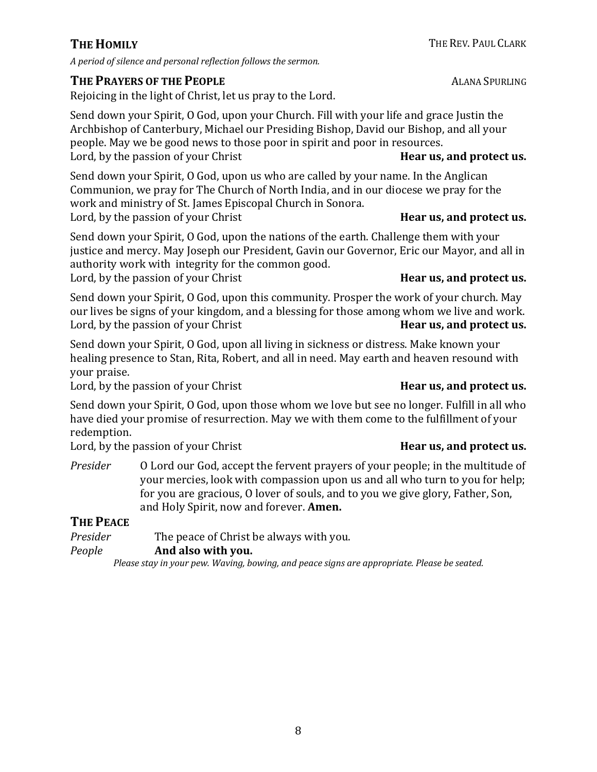# **THE HOMILY** THE REV. PAUL CLARK

*A period of silence and personal reflection follows the sermon.*

# **THE PRAYERS OF THE PEOPLE ALANA SPURLING**

Rejoicing in the light of Christ, let us pray to the Lord.

Send down your Spirit, O God, upon your Church. Fill with your life and grace Justin the Archbishop of Canterbury, Michael our Presiding Bishop, David our Bishop, and all your people. May we be good news to those poor in spirit and poor in resources. Lord, by the passion of your Christ **Hear us, and protect us. Hear us, and protect us.** 

Send down your Spirit, O God, upon us who are called by your name. In the Anglican Communion, we pray for The Church of North India, and in our diocese we pray for the work and ministry of St. James Episcopal Church in Sonora. Lord, by the passion of your Christ **Hear us, and protect us. Hear us, and protect us.** 

Send down your Spirit, O God, upon the nations of the earth. Challenge them with your justice and mercy. May Joseph our President, Gavin our Governor, Eric our Mayor, and all in authority work with integrity for the common good. Lord, by the passion of your Christ **Hear us, and protect us.** 

Send down your Spirit, O God, upon this community. Prosper the work of your church. May our lives be signs of your kingdom, and a blessing for those among whom we live and work. Lord, by the passion of your Christ **Hear us, and protect us. Hear us, and protect us.** 

Send down your Spirit, O God, upon all living in sickness or distress. Make known your healing presence to Stan, Rita, Robert, and all in need. May earth and heaven resound with your praise.

Lord, by the passion of your Christ **Hear us, and protect us.** 

Send down your Spirit, O God, upon those whom we love but see no longer. Fulfill in all who have died your promise of resurrection. May we with them come to the fulfillment of your redemption.

Lord, by the passion of your Christ **Hear us, and protect us.** 

*Presider* 0 Lord our God, accept the fervent prayers of your people; in the multitude of your mercies, look with compassion upon us and all who turn to you for help; for you are gracious, O lover of souls, and to you we give glory, Father, Son, and Holy Spirit, now and forever. **Amen.** 

# **THE PEACE**

*Presider* The peace of Christ be always with you.

*People* **And also with you.** 

Please stay in your pew. Waving, bowing, and peace signs are appropriate. Please be seated.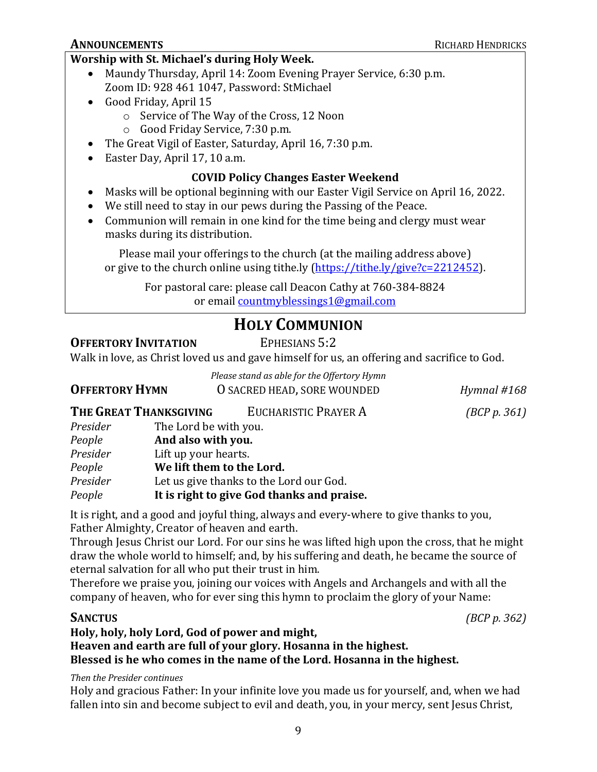### **Worship with St. Michael's during Holy Week.**

- Maundy Thursday, April 14: Zoom Evening Prayer Service, 6:30 p.m. Zoom ID: 928 461 1047, Password: StMichael
- Good Friday, April 15
	- o Service of The Way of the Cross, 12 Noon
	- $\circ$  Good Friday Service, 7:30 p.m.
- The Great Vigil of Easter, Saturday, April 16, 7:30 p.m.
- Easter Day, April 17, 10 a.m.

## **COVID Policy Changes Easter Weekend**

- Masks will be optional beginning with our Easter Vigil Service on April 16, 2022.
- We still need to stay in our pews during the Passing of the Peace.
- Communion will remain in one kind for the time being and clergy must wear masks during its distribution.

Please mail your offerings to the church (at the mailing address above) or give to the church online using tithe.ly  $(https://tithe.ly/give?c=2212452)$ .

> For pastoral care: please call Deacon Cathy at 760-384-8824 or email countmyblessings1@gmail.com

# **HOLY COMMUNION**

# **OFFERTORY INVITATION** EPHESIANS 5:2

Walk in love, as Christ loved us and gave himself for us, an offering and sacrifice to God.

|                       |                        | Please stand as able for the Offertory Hymn |              |
|-----------------------|------------------------|---------------------------------------------|--------------|
| <b>OFFERTORY HYMN</b> |                        | O SACRED HEAD, SORE WOUNDED                 | Hymnal #168  |
|                       | THE GREAT THANKSGIVING | EUCHARISTIC PRAYER A                        | (BCP p. 361) |
| Presider              | The Lord be with you.  |                                             |              |

| $1.11$ $1.01$ $1.01$ $1.01$ $1.01$ $1.01$ |
|-------------------------------------------|
| And also with you.                        |
| Lift up your hearts.                      |
| We lift them to the Lord.                 |
|                                           |

*Presider* Let us give thanks to the Lord our God.

*People* **It is right to give God thanks and praise.** 

It is right, and a good and joyful thing, always and every-where to give thanks to you, Father Almighty, Creator of heaven and earth.

Through Jesus Christ our Lord. For our sins he was lifted high upon the cross, that he might draw the whole world to himself; and, by his suffering and death, he became the source of eternal salvation for all who put their trust in him.

Therefore we praise you, joining our voices with Angels and Archangels and with all the company of heaven, who for ever sing this hymn to proclaim the glory of your Name:

**SANCTUS** *(BCP p. 362)* Holy, holy, holy Lord, God of power and might, Heaven and earth are full of your glory. Hosanna in the highest. **Blessed is he who comes in the name of the Lord. Hosanna in the highest.** 

*Then the Presider continues*

Holy and gracious Father: In your infinite love you made us for yourself, and, when we had fallen into sin and become subject to evil and death, you, in your mercy, sent Jesus Christ,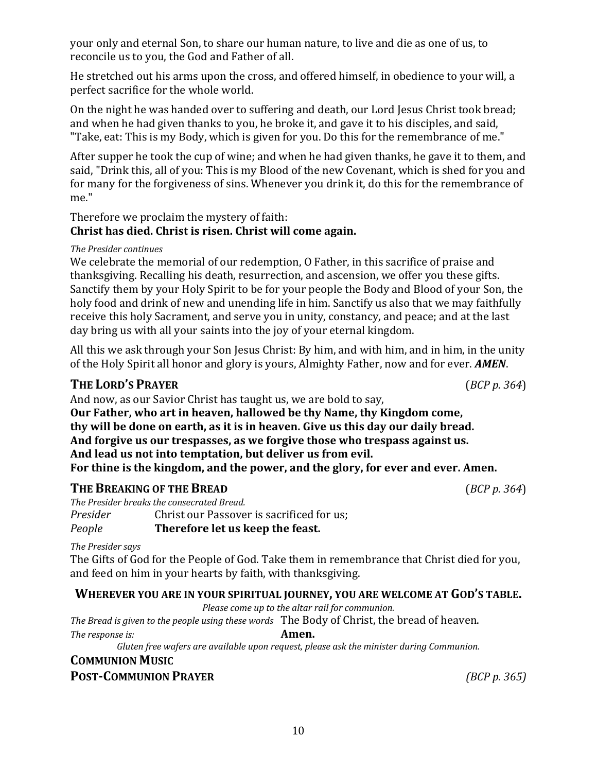your only and eternal Son, to share our human nature, to live and die as one of us, to reconcile us to you, the God and Father of all.

He stretched out his arms upon the cross, and offered himself, in obedience to your will, a perfect sacrifice for the whole world.

On the night he was handed over to suffering and death, our Lord Jesus Christ took bread; and when he had given thanks to you, he broke it, and gave it to his disciples, and said, "Take, eat: This is my Body, which is given for you. Do this for the remembrance of me."

After supper he took the cup of wine; and when he had given thanks, he gave it to them, and said, "Drink this, all of you: This is my Blood of the new Covenant, which is shed for you and for many for the forgiveness of sins. Whenever you drink it, do this for the remembrance of me."

### Therefore we proclaim the mystery of faith: **Christ has died. Christ is risen. Christ will come again.**

### *The Presider continues*

We celebrate the memorial of our redemption, O Father, in this sacrifice of praise and thanksgiving. Recalling his death, resurrection, and ascension, we offer you these gifts. Sanctify them by your Holy Spirit to be for your people the Body and Blood of your Son, the holy food and drink of new and unending life in him. Sanctify us also that we may faithfully receive this holy Sacrament, and serve you in unity, constancy, and peace; and at the last day bring us with all your saints into the joy of your eternal kingdom.

All this we ask through your Son Jesus Christ: By him, and with him, and in him, in the unity of the Holy Spirit all honor and glory is yours, Almighty Father, now and for ever. **AMEN**.

## **THE LORD'S PRAYER** (*BCP p.* 364)

And now, as our Savior Christ has taught us, we are bold to say, Our Father, who art in heaven, hallowed be thy Name, thy Kingdom come, thy will be done on earth, as it is in heaven. Give us this day our daily bread. And forgive us our trespasses, as we forgive those who trespass against us. And lead us not into temptation, but deliver us from evil. For thine is the kingdom, and the power, and the glory, for ever and ever. Amen.

## **THE BREAKING OF THE BREAD** (*BCP p.* 364)

*The Presider breaks the consecrated Bread. Presider* Christ our Passover is sacrificed for us; *People* **Therefore let us keep the feast.** 

*The Presider says*

The Gifts of God for the People of God. Take them in remembrance that Christ died for you, and feed on him in your hearts by faith, with thanksgiving.

# WHEREVER YOU ARE IN YOUR SPIRITUAL JOURNEY, YOU ARE WELCOME AT GOD'S TABLE.

Please come up to the altar rail for communion.

The Bread is given to the people using these words The Body of Christ, the bread of heaven.

*The response is:* **Amen.** 

Gluten free wafers are available upon request, please ask the minister during Communion.

# **COMMUNION MUSIC**

# **POST-COMMUNION PRAYER** *(BCP p. 365)*